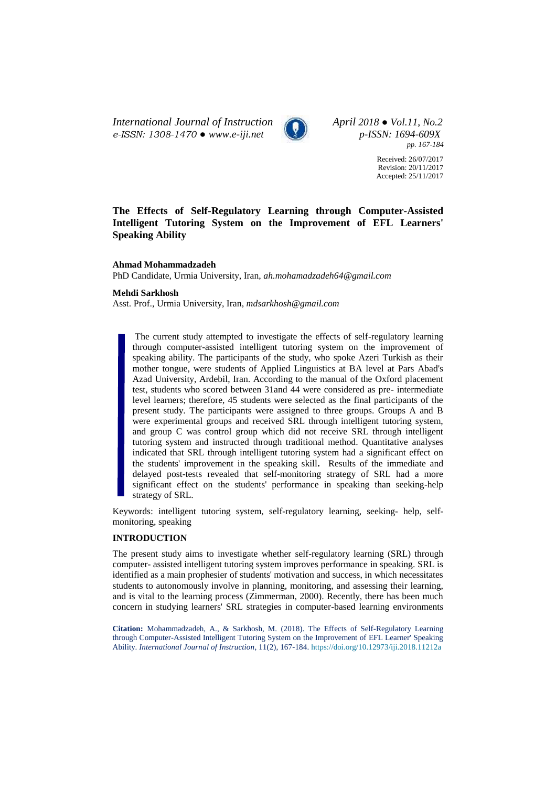*International Journal of Instruction April 2018 ● Vol.11, No.2 e-ISSN: 1308-1470 ● [www.e-iji.net](http://www.e-iji.net/) p-ISSN: 1694-609X*



*pp. 167-184*

Received: 26/07/2017 Revision: 20/11/2017 Accepted: 25/11/2017

**The Effects of Self-Regulatory Learning through Computer-Assisted Intelligent Tutoring System on the Improvement of EFL Learners' Speaking Ability**

#### **Ahmad Mohammadzadeh**

PhD Candidate, Urmia University, Iran, *ah.mohamadzadeh64@gmail.com*

#### **Mehdi Sarkhosh**

Asst. Prof., Urmia University, Iran, *mdsarkhosh@gmail.com*

The current study attempted to investigate the effects of self-regulatory learning through computer-assisted intelligent tutoring system on the improvement of speaking ability. The participants of the study, who spoke Azeri Turkish as their mother tongue, were students of Applied Linguistics at BA level at Pars Abad's Azad University, Ardebil, Iran. According to the manual of the Oxford placement test, students who scored between 31and 44 were considered as pre- intermediate level learners; therefore, 45 students were selected as the final participants of the present study. The participants were assigned to three groups. Groups A and B were experimental groups and received SRL through intelligent tutoring system, and group C was control group which did not receive SRL through intelligent tutoring system and instructed through traditional method. Quantitative analyses indicated that SRL through intelligent tutoring system had a significant effect on the students' improvement in the speaking skill**.** Results of the immediate and delayed post-tests revealed that self-monitoring strategy of SRL had a more significant effect on the students' performance in speaking than seeking-help strategy of SRL.

Keywords: intelligent tutoring system, self-regulatory learning, seeking- help, selfmonitoring, speaking

## **INTRODUCTION**

The present study aims to investigate whether self-regulatory learning (SRL) through computer- assisted intelligent tutoring system improves performance in speaking. SRL is identified as a main prophesier of students' motivation and success, in which necessitates students to autonomously involve in planning, monitoring, and assessing their learning, and is vital to the learning process (Zimmerman, 2000). Recently, there has been much concern in studying learners' SRL strategies in computer-based learning environments

**Citation:** Mohammadzadeh, A., & Sarkhosh, M. (2018). The Effects of Self-Regulatory Learning through Computer-Assisted Intelligent Tutoring System on the Improvement of EFL Learner' Speaking Ability. *International Journal of Instruction*, 11(2), 167-184. <https://doi.org/10.12973/iji.2018.11212a>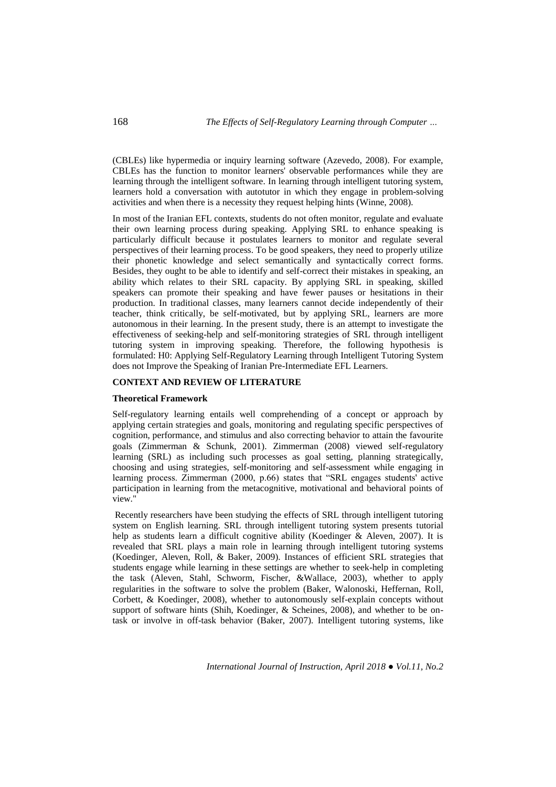(CBLEs) like hypermedia or inquiry learning software (Azevedo, 2008). For example, CBLEs has the function to monitor learners' observable performances while they are learning through the intelligent software. In learning through intelligent tutoring system, learners hold a conversation with autotutor in which they engage in problem-solving activities and when there is a necessity they request helping hints (Winne, 2008).

In most of the Iranian EFL contexts, students do not often monitor, regulate and evaluate their own learning process during speaking. Applying SRL to enhance speaking is particularly difficult because it postulates learners to monitor and regulate several perspectives of their learning process. To be good speakers, they need to properly utilize their phonetic knowledge and select semantically and syntactically correct forms. Besides, they ought to be able to identify and self-correct their mistakes in speaking, an ability which relates to their SRL capacity. By applying SRL in speaking, skilled speakers can promote their speaking and have fewer pauses or hesitations in their production. In traditional classes, many learners cannot decide independently of their teacher, think critically, be self-motivated, but by applying SRL, learners are more autonomous in their learning. In the present study, there is an attempt to investigate the effectiveness of seeking-help and self-monitoring strategies of SRL through intelligent tutoring system in improving speaking. Therefore, the following hypothesis is formulated: H0: Applying Self-Regulatory Learning through Intelligent Tutoring System does not Improve the Speaking of Iranian Pre-Intermediate EFL Learners.

### **CONTEXT AND REVIEW OF LITERATURE**

#### **Theoretical Framework**

Self-regulatory learning entails well comprehending of a concept or approach by applying certain strategies and goals, monitoring and regulating specific perspectives of cognition, performance, and stimulus and also correcting behavior to attain the favourite goals (Zimmerman & Schunk, 2001). Zimmerman (2008) viewed self-regulatory learning (SRL) as including such processes as goal setting, planning strategically, choosing and using strategies, self-monitoring and self-assessment while engaging in learning process. Zimmerman (2000, p.66) states that "SRL engages students' active participation in learning from the metacognitive, motivational and behavioral points of view."

Recently researchers have been studying the effects of SRL through intelligent tutoring system on English learning. SRL through intelligent tutoring system presents tutorial help as students learn a difficult cognitive ability (Koedinger & Aleven, 2007). It is revealed that SRL plays a main role in learning through intelligent tutoring systems (Koedinger, Aleven, Roll, & Baker, 2009). Instances of efficient SRL strategies that students engage while learning in these settings are whether to seek-help in completing the task (Aleven, Stahl, Schworm, Fischer, &Wallace, 2003), whether to apply regularities in the software to solve the problem (Baker, Walonoski, Heffernan, Roll, Corbett, & Koedinger, 2008), whether to autonomously self-explain concepts without support of software hints (Shih, Koedinger, & Scheines, 2008), and whether to be ontask or involve in off-task behavior (Baker, 2007). Intelligent tutoring systems, like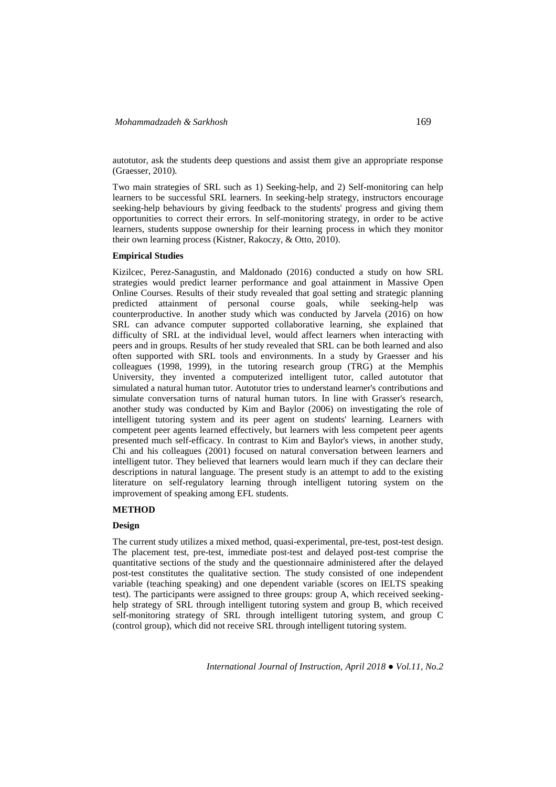autotutor, ask the students deep questions and assist them give an appropriate response (Graesser, 2010)*.*

Two main strategies of SRL such as 1) Seeking-help, and 2) Self-monitoring can help learners to be successful SRL learners. In seeking-help strategy, instructors encourage seeking-help behaviours by giving feedback to the students' progress and giving them opportunities to correct their errors. In self-monitoring strategy, in order to be active learners, students suppose ownership for their learning process in which they monitor their own learning process (Kistner, Rakoczy, & Otto, 2010).

#### **Empirical Studies**

Kizilcec, Perez-Sanagustin, and Maldonado (2016) conducted a study on how SRL strategies would predict learner performance and goal attainment in Massive Open Online Courses. Results of their study revealed that goal setting and strategic planning predicted attainment of personal course goals, while seeking-help was counterproductive. In another study which was conducted by Jarvela (2016) on how SRL can advance computer supported collaborative learning, she explained that difficulty of SRL at the individual level, would affect learners when interacting with peers and in groups. Results of her study revealed that SRL can be both learned and also often supported with SRL tools and environments. In a study by Graesser and his colleagues (1998, 1999), in the tutoring research group (TRG) at the Memphis University, they invented a computerized intelligent tutor, called autotutor that simulated a natural human tutor. Autotutor tries to understand learner's contributions and simulate conversation turns of natural human tutors. In line with Grasser's research, another study was conducted by Kim and Baylor (2006) on investigating the role of intelligent tutoring system and its peer agent on students' learning. Learners with competent peer agents learned effectively, but learners with less competent peer agents presented much self-efficacy. In contrast to Kim and Baylor's views, in another study, Chi and his colleagues (2001) focused on natural conversation between learners and intelligent tutor. They believed that learners would learn much if they can declare their descriptions in natural language. The present study is an attempt to add to the existing literature on self-regulatory learning through intelligent tutoring system on the improvement of speaking among EFL students.

### **METHOD**

### **Design**

The current study utilizes a mixed method, quasi-experimental, pre-test, post-test design. The placement test, pre-test, immediate post-test and delayed post-test comprise the quantitative sections of the study and the questionnaire administered after the delayed post-test constitutes the qualitative section. The study consisted of one independent variable (teaching speaking) and one dependent variable (scores on IELTS speaking test). The participants were assigned to three groups: group A, which received seekinghelp strategy of SRL through intelligent tutoring system and group B, which received self-monitoring strategy of SRL through intelligent tutoring system, and group C (control group), which did not receive SRL through intelligent tutoring system.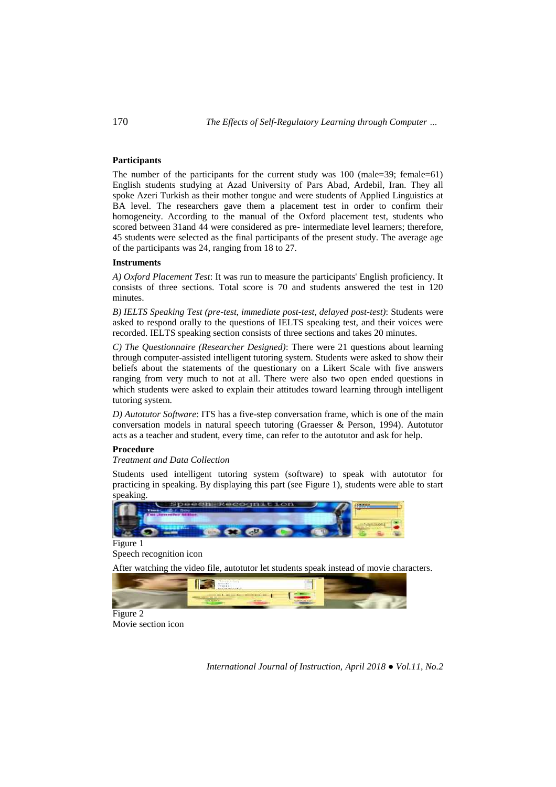### **Participants**

The number of the participants for the current study was 100 (male=39; female=61) English students studying at Azad University of Pars Abad, Ardebil, Iran. They all spoke Azeri Turkish as their mother tongue and were students of Applied Linguistics at BA level. The researchers gave them a placement test in order to confirm their homogeneity. According to the manual of the Oxford placement test, students who scored between 31and 44 were considered as pre- intermediate level learners; therefore, 45 students were selected as the final participants of the present study. The average age of the participants was 24, ranging from 18 to 27.

## **Instruments**

*A) Oxford Placement Test*: It was run to measure the participants' English proficiency. It consists of three sections. Total score is 70 and students answered the test in 120 minutes.

*B) IELTS Speaking Test (pre-test, immediate post-test, delayed post-test)*: Students were asked to respond orally to the questions of IELTS speaking test, and their voices were recorded. IELTS speaking section consists of three sections and takes 20 minutes.

*C) The Questionnaire (Researcher Designed)*: There were 21 questions about learning through computer-assisted intelligent tutoring system. Students were asked to show their beliefs about the statements of the questionary on a Likert Scale with five answers ranging from very much to not at all. There were also two open ended questions in which students were asked to explain their attitudes toward learning through intelligent tutoring system.

*D) Autotutor Software*: ITS has a five-step conversation frame, which is one of the main conversation models in natural speech tutoring (Graesser & Person, 1994). Autotutor acts as a teacher and student, every time, can refer to the autotutor and ask for help.

# **Procedure**

*Treatment and Data Collection*

Students used intelligent tutoring system (software) to speak with autotutor for practicing in speaking. By displaying this part (see Figure 1), students were able to start speaking.



Figure 1

Speech recognition icon

After watching the video file, autotutor let students speak instead of movie characters.



Figure 2 Movie section icon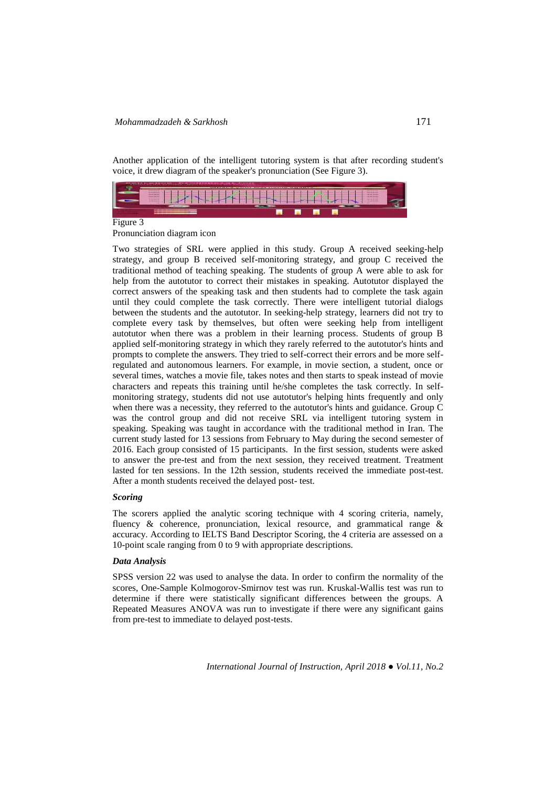Another application of the intelligent tutoring system is that after recording student's voice, it drew diagram of the speaker's pronunciation (See Figure 3).



Figure 3

Pronunciation diagram icon

Two strategies of SRL were applied in this study. Group A received seeking-help strategy, and group B received self-monitoring strategy, and group C received the traditional method of teaching speaking. The students of group A were able to ask for help from the autotutor to correct their mistakes in speaking. Autotutor displayed the correct answers of the speaking task and then students had to complete the task again until they could complete the task correctly. There were intelligent tutorial dialogs between the students and the autotutor. In seeking-help strategy, learners did not try to complete every task by themselves, but often were seeking help from intelligent autotutor when there was a problem in their learning process. Students of group B applied self-monitoring strategy in which they rarely referred to the autotutor's hints and prompts to complete the answers. They tried to self-correct their errors and be more selfregulated and autonomous learners. For example, in movie section, a student, once or several times, watches a movie file, takes notes and then starts to speak instead of movie characters and repeats this training until he/she completes the task correctly. In selfmonitoring strategy, students did not use autotutor's helping hints frequently and only when there was a necessity, they referred to the autotutor's hints and guidance. Group C was the control group and did not receive SRL via intelligent tutoring system in speaking. Speaking was taught in accordance with the traditional method in Iran. The current study lasted for 13 sessions from February to May during the second semester of 2016. Each group consisted of 15 participants. In the first session, students were asked to answer the pre-test and from the next session, they received treatment. Treatment lasted for ten sessions. In the 12th session, students received the immediate post-test. After a month students received the delayed post- test.

## *Scoring*

The scorers applied the analytic scoring technique with 4 scoring criteria, namely, fluency & coherence, pronunciation, lexical resource, and grammatical range & accuracy. According to IELTS Band Descriptor Scoring, the 4 criteria are assessed on a 10-point scale ranging from 0 to 9 with appropriate descriptions.

### *Data Analysis*

SPSS version 22 was used to analyse the data. In order to confirm the normality of the scores, One-Sample Kolmogorov-Smirnov test was run. Kruskal-Wallis test was run to determine if there were statistically significant differences between the groups. A Repeated Measures ANOVA was run to investigate if there were any significant gains from pre-test to immediate to delayed post-tests.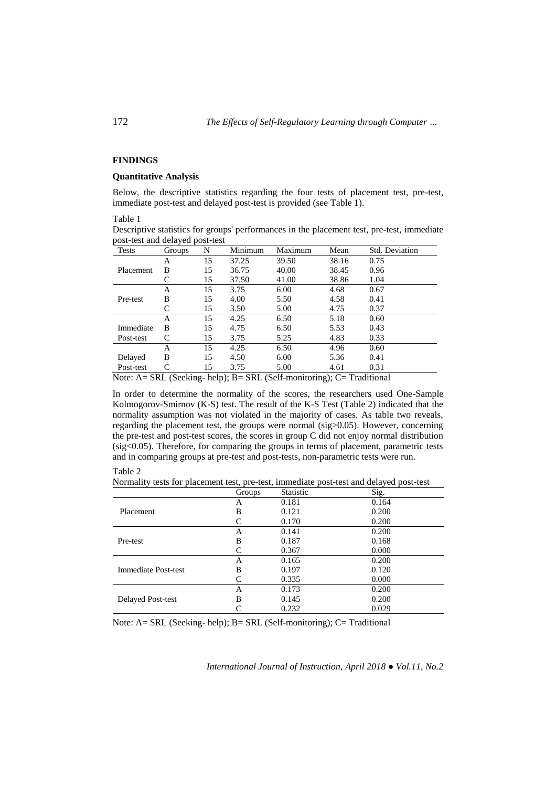# **FINDINGS**

# **Quantitative Analysis**

Below, the descriptive statistics regarding the four tests of placement test, pre-test, immediate post-test and delayed post-test is provided (see Table 1).

# Table 1

Descriptive statistics for groups' performances in the placement test, pre-test, immediate post-test and delayed post-test

| <b>Tests</b> | Groups                      | N  | Minimum | Maximum                 | Mean  | Std. Deviation             |
|--------------|-----------------------------|----|---------|-------------------------|-------|----------------------------|
|              | А                           | 15 | 37.25   | 39.50                   | 38.16 | 0.75                       |
| Placement    | B                           | 15 | 36.75   | 40.00                   | 38.45 | 0.96                       |
|              |                             | 15 | 37.50   | 41.00                   | 38.86 | 1.04                       |
|              | А                           | 15 | 3.75    | 6.00                    | 4.68  | 0.67                       |
| Pre-test     | B                           | 15 | 4.00    | 5.50                    | 4.58  | 0.41                       |
|              |                             | 15 | 3.50    | 5.00                    | 4.75  | 0.37                       |
|              | A                           | 15 | 4.25    | 6.50                    | 5.18  | 0.60                       |
| Immediate    | B                           | 15 | 4.75    | 6.50                    | 5.53  | 0.43                       |
| Post-test    |                             | 15 | 3.75    | 5.25                    | 4.83  | 0.33                       |
|              | A                           | 15 | 4.25    | 6.50                    | 4.96  | 0.60                       |
| Delayed      | B                           | 15 | 4.50    | 6.00                    | 5.36  | 0.41                       |
| Post-test    |                             | 15 | 3.75    | 5.00                    | 4.61  | 0.31                       |
| $NT - 1 - A$ | $CDI / C = 1$ , $1.1$ , $D$ |    |         | $CDI$ $(0.10 \ldots 1)$ |       | $-1.001$ $-1.001$ $-1.001$ |

Note: A= SRL (Seeking- help); B= SRL (Self-monitoring); C= Traditional

In order to determine the normality of the scores, the researchers used One-Sample Kolmogorov-Smirnov (K-S) test. The result of the K-S Test (Table 2) indicated that the normality assumption was not violated in the majority of cases. As table two reveals, regarding the placement test, the groups were normal (sig>0.05). However, concerning the pre-test and post-test scores, the scores in group C did not enjoy normal distribution (sig<0.05). Therefore, for comparing the groups in terms of placement, parametric tests and in comparing groups at pre-test and post-tests, non-parametric tests were run.

#### Table 2

Normality tests for placement test, pre-test, immediate post-test and delayed post-test

|                          | Groups | Statistic | Sig.  |
|--------------------------|--------|-----------|-------|
|                          | А      | 0.181     | 0.164 |
| Placement                | B      | 0.121     | 0.200 |
|                          | C      | 0.170     | 0.200 |
|                          | А      | 0.141     | 0.200 |
| Pre-test                 | B      | 0.187     | 0.168 |
|                          | C      | 0.367     | 0.000 |
|                          | А      | 0.165     | 0.200 |
| Immediate Post-test      | B      | 0.197     | 0.120 |
|                          | C      | 0.335     | 0.000 |
|                          | А      | 0.173     | 0.200 |
| <b>Delayed Post-test</b> | B      | 0.145     | 0.200 |
|                          | C      | 0.232     | 0.029 |

Note: A= SRL (Seeking- help); B= SRL (Self-monitoring); C= Traditional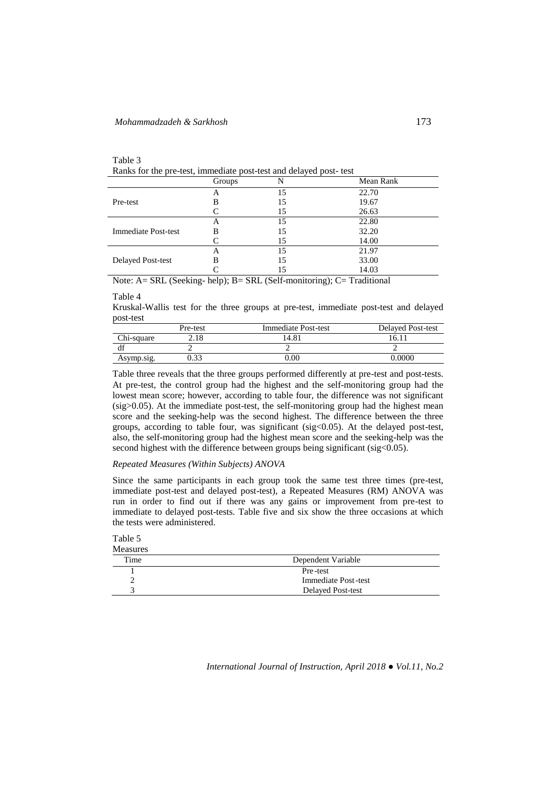# *Mohammadzadeh & Sarkhosh* 173

### Table 3 Ranks for the pre-test, immediate post-test and delayed post- test

|                            | Groups | N  | Mean Rank |
|----------------------------|--------|----|-----------|
|                            | A      | 15 | 22.70     |
| Pre-test                   |        | 15 | 19.67     |
|                            |        | 15 | 26.63     |
|                            | А      | 15 | 22.80     |
| <b>Immediate Post-test</b> | в      | 15 | 32.20     |
|                            |        | 15 | 14.00     |
|                            | Α      | 15 | 21.97     |
| Delayed Post-test          | в      | 15 | 33.00     |
|                            |        | 15 | 14.03     |

Note: A= SRL (Seeking- help); B= SRL (Self-monitoring); C= Traditional

#### Table 4

Kruskal-Wallis test for the three groups at pre-test, immediate post-test and delayed post-test

|            | Pre-test | <b>Immediate Post-test</b> | <b>Delayed Post-test</b> |
|------------|----------|----------------------------|--------------------------|
| Chi-square |          | 4.8                        |                          |
| df         |          |                            |                          |
| Asymp.sig. | ).33     | 00.0                       | N 0000                   |

Table three reveals that the three groups performed differently at pre-test and post-tests. At pre-test, the control group had the highest and the self-monitoring group had the lowest mean score; however, according to table four, the difference was not significant  $(sig>0.05)$ . At the immediate post-test, the self-monitoring group had the highest mean score and the seeking-help was the second highest. The difference between the three groups, according to table four, was significant ( $sig<0.05$ ). At the delayed post-test, also, the self-monitoring group had the highest mean score and the seeking-help was the second highest with the difference between groups being significant (sig<0.05).

# *Repeated Measures (Within Subjects) ANOVA*

Since the same participants in each group took the same test three times (pre-test, immediate post-test and delayed post-test), a Repeated Measures (RM) ANOVA was run in order to find out if there was any gains or improvement from pre-test to immediate to delayed post-tests. Table five and six show the three occasions at which the tests were administered.

# Table 5

| Dependent Variable       |  |
|--------------------------|--|
| Pre-test                 |  |
| Immediate Post-test      |  |
| <b>Delayed Post-test</b> |  |
|                          |  |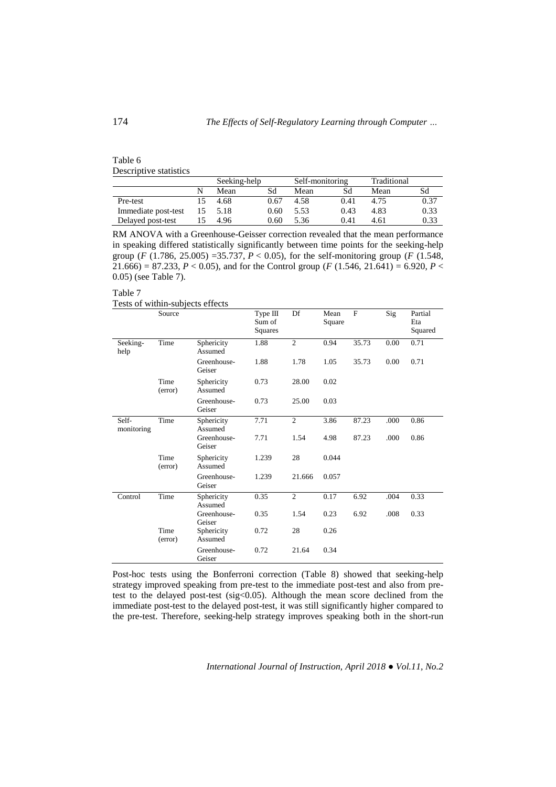Table 6 Descriptive statistics

|                     |    | Seeking-help |      | Self-monitoring |      | Traditional |      |
|---------------------|----|--------------|------|-----------------|------|-------------|------|
|                     |    | Mean         | Sd   | Mean            | Sd   | Mean        | Sd   |
| Pre-test            |    | 4.68         | 0.67 | 4.58            | 0.41 | 4.75        | 0.37 |
| Immediate post-test | 15 | 5.18         | 0.60 | 5.53            | 0.43 | 4.83        | 0.33 |
| Delayed post-test   |    | 4.96         | 0.60 | 5.36            | 0.41 | 4.61        | 0.33 |

RM ANOVA with a Greenhouse-Geisser correction revealed that the mean performance in speaking differed statistically significantly between time points for the seeking-help group (*F* (1.786, 25.005) =35.737, *P* < 0.05), for the self-monitoring group (*F* (1.548, 21.666) = 87.233,  $P < 0.05$ ), and for the Control group ( $F(1.546, 21.641) = 6.920, P <$ 0.05) (see Table 7).

# Table 7

Tests of within-subjects effects

|                     | Source          |                       | Type III<br>Sum of<br>Squares | Df             | Mean<br>Square | F     | Sig  | Partial<br>Eta<br>Squared |
|---------------------|-----------------|-----------------------|-------------------------------|----------------|----------------|-------|------|---------------------------|
| Seeking-<br>help    | Time            | Sphericity<br>Assumed | 1.88                          | $\overline{2}$ | 0.94           | 35.73 | 0.00 | 0.71                      |
|                     |                 | Greenhouse-<br>Geiser | 1.88                          | 1.78           | 1.05           | 35.73 | 0.00 | 0.71                      |
|                     | Time<br>(error) | Sphericity<br>Assumed | 0.73                          | 28.00          | 0.02           |       |      |                           |
|                     |                 | Greenhouse-<br>Geiser | 0.73                          | 25.00          | 0.03           |       |      |                           |
| Self-<br>monitoring | Time            | Sphericity<br>Assumed | 7.71                          | $\overline{c}$ | 3.86           | 87.23 | .000 | 0.86                      |
|                     |                 | Greenhouse-<br>Geiser | 7.71                          | 1.54           | 4.98           | 87.23 | .000 | 0.86                      |
|                     | Time<br>(error) | Sphericity<br>Assumed | 1.239                         | 28             | 0.044          |       |      |                           |
|                     |                 | Greenhouse-<br>Geiser | 1.239                         | 21.666         | 0.057          |       |      |                           |
| Control             | Time            | Sphericity<br>Assumed | 0.35                          | $\overline{c}$ | 0.17           | 6.92  | .004 | 0.33                      |
|                     |                 | Greenhouse-<br>Geiser | 0.35                          | 1.54           | 0.23           | 6.92  | .008 | 0.33                      |
|                     | Time<br>(error) | Sphericity<br>Assumed | 0.72                          | 28             | 0.26           |       |      |                           |
|                     |                 | Greenhouse-<br>Geiser | 0.72                          | 21.64          | 0.34           |       |      |                           |

Post-hoc tests using the Bonferroni correction (Table 8) showed that seeking-help strategy improved speaking from pre-test to the immediate post-test and also from pretest to the delayed post-test (sig<0.05). Although the mean score declined from the immediate post-test to the delayed post-test, it was still significantly higher compared to the pre-test. Therefore, seeking-help strategy improves speaking both in the short-run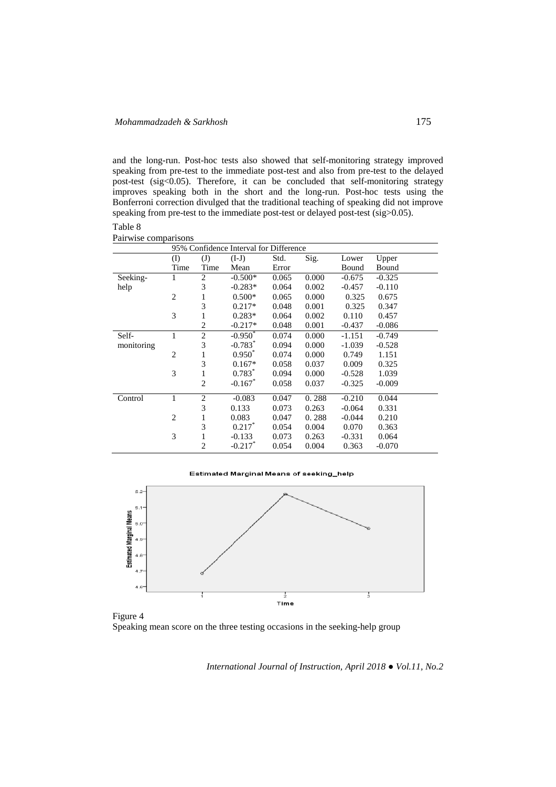and the long-run. Post-hoc tests also showed that self-monitoring strategy improved speaking from pre-test to the immediate post-test and also from pre-test to the delayed post-test (sig<0.05). Therefore, it can be concluded that self-monitoring strategy improves speaking both in the short and the long-run. Post-hoc tests using the Bonferroni correction divulged that the traditional teaching of speaking did not improve speaking from pre-test to the immediate post-test or delayed post-test (sig>0.05).

Table 8

|  |  | Pairwise comparisons |
|--|--|----------------------|
|  |  |                      |
|  |  |                      |

|            | 95% Confidence Interval for Difference |                |                       |       |       |          |          |  |
|------------|----------------------------------------|----------------|-----------------------|-------|-------|----------|----------|--|
|            | (I)                                    | $\mathrm{(J)}$ | $(I-J)$               | Std.  | Sig.  | Lower    | Upper    |  |
|            | Time                                   | Time           | Mean                  | Error |       | Bound    | Bound    |  |
| Seeking-   | 1                                      | 2              | $-0.500*$             | 0.065 | 0.000 | $-0.675$ | $-0.325$ |  |
| help       |                                        | 3              | $-0.283*$             | 0.064 | 0.002 | $-0.457$ | $-0.110$ |  |
|            | 2                                      | 1              | $0.500*$              | 0.065 | 0.000 | 0.325    | 0.675    |  |
|            |                                        | 3              | $0.217*$              | 0.048 | 0.001 | 0.325    | 0.347    |  |
|            | 3                                      | 1              | $0.283*$              | 0.064 | 0.002 | 0.110    | 0.457    |  |
|            |                                        | $\overline{c}$ | $-0.217*$             | 0.048 | 0.001 | $-0.437$ | $-0.086$ |  |
| Self-      | 1                                      | $\overline{2}$ | $-0.950$              | 0.074 | 0.000 | $-1.151$ | $-0.749$ |  |
| monitoring |                                        | 3              | $-0.783$ <sup>*</sup> | 0.094 | 0.000 | $-1.039$ | $-0.528$ |  |
|            | 2                                      | 1              | $0.950^*$             | 0.074 | 0.000 | 0.749    | 1.151    |  |
|            |                                        | 3              | $0.167*$              | 0.058 | 0.037 | 0.009    | 0.325    |  |
|            | 3                                      | 1              | $0.783*$              | 0.094 | 0.000 | $-0.528$ | 1.039    |  |
|            |                                        | $\overline{2}$ | $-0.167*$             | 0.058 | 0.037 | $-0.325$ | $-0.009$ |  |
| Control    | 1                                      | $\overline{2}$ | $-0.083$              | 0.047 | 0.288 | $-0.210$ | 0.044    |  |
|            |                                        | 3              | 0.133                 | 0.073 | 0.263 | $-0.064$ | 0.331    |  |
|            | $\overline{2}$                         | 1              | 0.083                 | 0.047 | 0.288 | $-0.044$ | 0.210    |  |
|            |                                        | 3              | $0.217*$              | 0.054 | 0.004 | 0.070    | 0.363    |  |
|            | 3                                      |                | $-0.133$              | 0.073 | 0.263 | $-0.331$ | 0.064    |  |
|            |                                        | 2              | $-0.217$ *            | 0.054 | 0.004 | 0.363    | $-0.070$ |  |

#### Estimated Marginal Means of seeking\_help



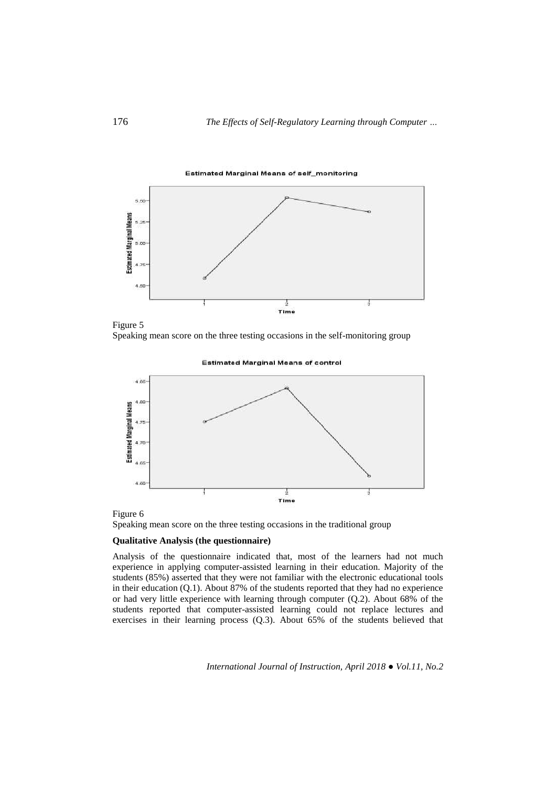

Estimated Marginal Means of self\_monitoring

Figure 5

Speaking mean score on the three testing occasions in the self-monitoring group

**Estimated Marginal Means of control** 



Figure 6 Speaking mean score on the three testing occasions in the traditional group

#### **Qualitative Analysis (the questionnaire)**

Analysis of the questionnaire indicated that, most of the learners had not much experience in applying computer-assisted learning in their education. Majority of the students (85%) asserted that they were not familiar with the electronic educational tools in their education (Q.1). About 87% of the students reported that they had no experience or had very little experience with learning through computer (Q.2). About 68% of the students reported that computer-assisted learning could not replace lectures and exercises in their learning process (Q.3). About 65% of the students believed that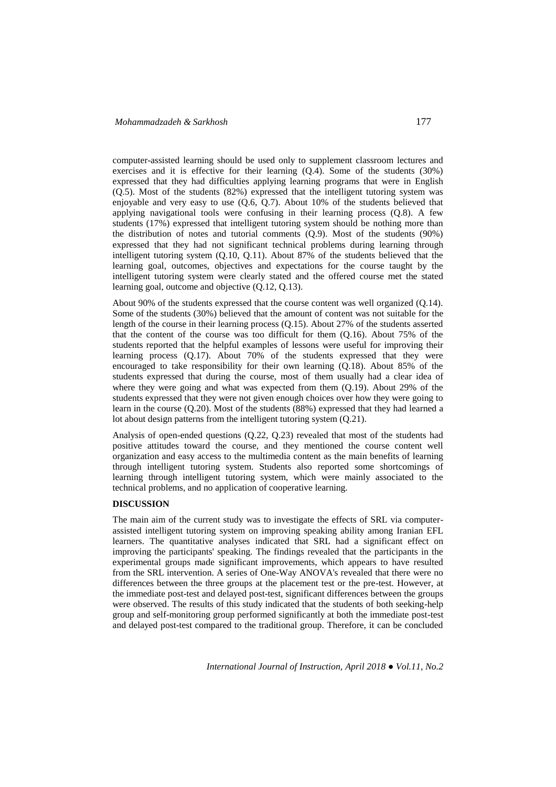computer-assisted learning should be used only to supplement classroom lectures and exercises and it is effective for their learning (Q.4). Some of the students (30%) expressed that they had difficulties applying learning programs that were in English (Q.5). Most of the students (82%) expressed that the intelligent tutoring system was enjoyable and very easy to use (Q.6, Q.7). About 10% of the students believed that applying navigational tools were confusing in their learning process (Q.8). A few students (17%) expressed that intelligent tutoring system should be nothing more than the distribution of notes and tutorial comments (Q.9). Most of the students (90%) expressed that they had not significant technical problems during learning through intelligent tutoring system (Q.10, Q.11). About 87% of the students believed that the learning goal, outcomes, objectives and expectations for the course taught by the intelligent tutoring system were clearly stated and the offered course met the stated learning goal, outcome and objective (Q.12, Q.13).

About 90% of the students expressed that the course content was well organized (Q.14). Some of the students (30%) believed that the amount of content was not suitable for the length of the course in their learning process (Q.15). About 27% of the students asserted that the content of the course was too difficult for them (Q.16). About 75% of the students reported that the helpful examples of lessons were useful for improving their learning process (Q.17). About 70% of the students expressed that they were encouraged to take responsibility for their own learning (Q.18). About 85% of the students expressed that during the course, most of them usually had a clear idea of where they were going and what was expected from them (Q.19). About 29% of the students expressed that they were not given enough choices over how they were going to learn in the course (Q.20). Most of the students (88%) expressed that they had learned a lot about design patterns from the intelligent tutoring system (Q.21).

Analysis of open-ended questions (Q.22, Q.23) revealed that most of the students had positive attitudes toward the course, and they mentioned the course content well organization and easy access to the multimedia content as the main benefits of learning through intelligent tutoring system. Students also reported some shortcomings of learning through intelligent tutoring system, which were mainly associated to the technical problems, and no application of cooperative learning.

#### **DISCUSSION**

The main aim of the current study was to investigate the effects of SRL via computerassisted intelligent tutoring system on improving speaking ability among Iranian EFL learners. The quantitative analyses indicated that SRL had a significant effect on improving the participants' speaking. The findings revealed that the participants in the experimental groups made significant improvements, which appears to have resulted from the SRL intervention. A series of One-Way ANOVA's revealed that there were no differences between the three groups at the placement test or the pre-test. However, at the immediate post-test and delayed post-test, significant differences between the groups were observed. The results of this study indicated that the students of both seeking-help group and self-monitoring group performed significantly at both the immediate post-test and delayed post-test compared to the traditional group. Therefore, it can be concluded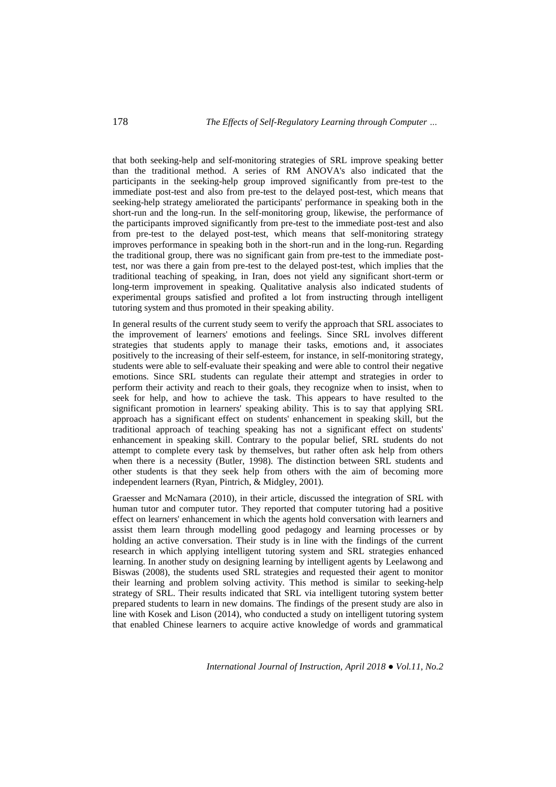that both seeking-help and self-monitoring strategies of SRL improve speaking better than the traditional method. A series of RM ANOVA's also indicated that the participants in the seeking-help group improved significantly from pre-test to the immediate post-test and also from pre-test to the delayed post-test, which means that seeking-help strategy ameliorated the participants' performance in speaking both in the short-run and the long-run. In the self-monitoring group, likewise, the performance of the participants improved significantly from pre-test to the immediate post-test and also from pre-test to the delayed post-test, which means that self-monitoring strategy improves performance in speaking both in the short-run and in the long-run. Regarding the traditional group, there was no significant gain from pre-test to the immediate posttest, nor was there a gain from pre-test to the delayed post-test, which implies that the traditional teaching of speaking, in Iran, does not yield any significant short-term or long-term improvement in speaking. Qualitative analysis also indicated students of experimental groups satisfied and profited a lot from instructing through intelligent tutoring system and thus promoted in their speaking ability.

In general results of the current study seem to verify the approach that SRL associates to the improvement of learners' emotions and feelings. Since SRL involves different strategies that students apply to manage their tasks, emotions and, it associates positively to the increasing of their self-esteem, for instance, in self-monitoring strategy, students were able to self-evaluate their speaking and were able to control their negative emotions. Since SRL students can regulate their attempt and strategies in order to perform their activity and reach to their goals, they recognize when to insist, when to seek for help, and how to achieve the task. This appears to have resulted to the significant promotion in learners' speaking ability. This is to say that applying SRL approach has a significant effect on students' enhancement in speaking skill, but the traditional approach of teaching speaking has not a significant effect on students' enhancement in speaking skill. Contrary to the popular belief, SRL students do not attempt to complete every task by themselves, but rather often ask help from others when there is a necessity (Butler, 1998). The distinction between SRL students and other students is that they seek help from others with the aim of becoming more independent learners (Ryan, Pintrich, & Midgley, 2001).

Graesser and McNamara (2010), in their article, discussed the integration of SRL with human tutor and computer tutor. They reported that computer tutoring had a positive effect on learners' enhancement in which the agents hold conversation with learners and assist them learn through modelling good pedagogy and learning processes or by holding an active conversation. Their study is in line with the findings of the current research in which applying intelligent tutoring system and SRL strategies enhanced learning. In another study on designing learning by intelligent agents by Leelawong and Biswas (2008), the students used SRL strategies and requested their agent to monitor their learning and problem solving activity. This method is similar to seeking-help strategy of SRL. Their results indicated that SRL via intelligent tutoring system better prepared students to learn in new domains. The findings of the present study are also in line with Kosek and Lison (2014), who conducted a study on intelligent tutoring system that enabled Chinese learners to acquire active knowledge of words and grammatical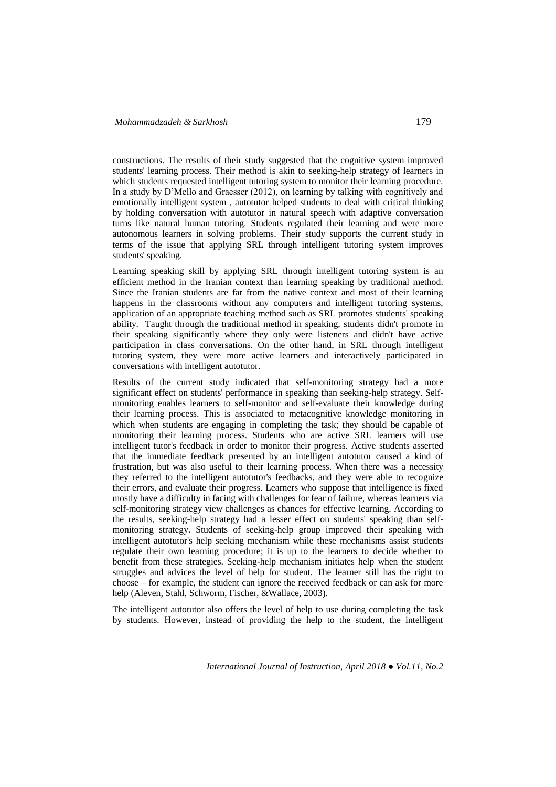constructions. The results of their study suggested that the cognitive system improved students' learning process. Their method is akin to seeking-help strategy of learners in which students requested intelligent tutoring system to monitor their learning procedure. In a study by D'Mello and Graesser (2012), on learning by talking with cognitively and emotionally intelligent system , autotutor helped students to deal with critical thinking by holding conversation with autotutor in natural speech with adaptive conversation turns like natural human tutoring. Students regulated their learning and were more autonomous learners in solving problems. Their study supports the current study in terms of the issue that applying SRL through intelligent tutoring system improves students' speaking.

Learning speaking skill by applying SRL through intelligent tutoring system is an efficient method in the Iranian context than learning speaking by traditional method. Since the Iranian students are far from the native context and most of their learning happens in the classrooms without any computers and intelligent tutoring systems, application of an appropriate teaching method such as SRL promotes students' speaking ability. Taught through the traditional method in speaking, students didn't promote in their speaking significantly where they only were listeners and didn't have active participation in class conversations. On the other hand, in SRL through intelligent tutoring system, they were more active learners and interactively participated in conversations with intelligent autotutor.

Results of the current study indicated that self-monitoring strategy had a more significant effect on students' performance in speaking than seeking-help strategy. Selfmonitoring enables learners to self-monitor and self-evaluate their knowledge during their learning process. This is associated to metacognitive knowledge monitoring in which when students are engaging in completing the task; they should be capable of monitoring their learning process. Students who are active SRL learners will use intelligent tutor's feedback in order to monitor their progress. Active students asserted that the immediate feedback presented by an intelligent autotutor caused a kind of frustration, but was also useful to their learning process. When there was a necessity they referred to the intelligent autotutor's feedbacks, and they were able to recognize their errors, and evaluate their progress. Learners who suppose that intelligence is fixed mostly have a difficulty in facing with challenges for fear of failure, whereas learners via self-monitoring strategy view challenges as chances for effective learning. According to the results, seeking-help strategy had a lesser effect on students' speaking than selfmonitoring strategy. Students of seeking-help group improved their speaking with intelligent autotutor's help seeking mechanism while these mechanisms assist students regulate their own learning procedure; it is up to the learners to decide whether to benefit from these strategies. Seeking-help mechanism initiates help when the student struggles and advices the level of help for student. The learner still has the right to choose – for example, the student can ignore the received feedback or can ask for more help (Aleven, Stahl, Schworm, Fischer, &Wallace, 2003).

The intelligent autotutor also offers the level of help to use during completing the task by students. However, instead of providing the help to the student, the intelligent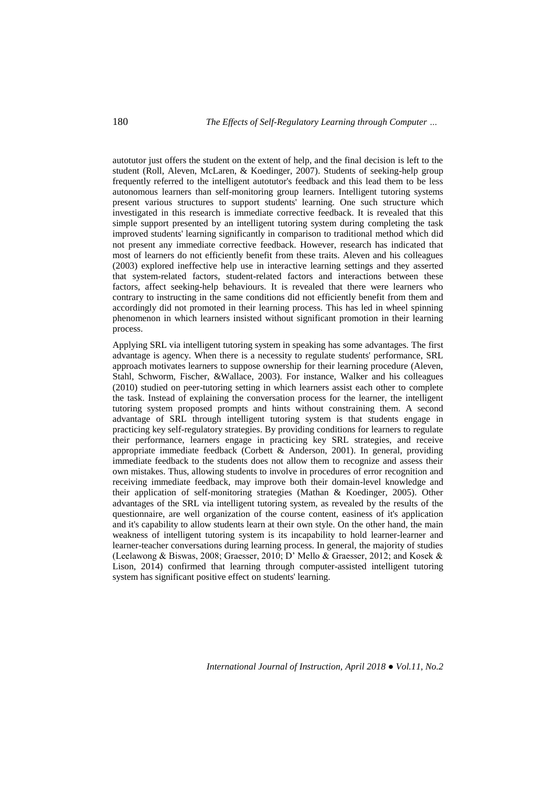autotutor just offers the student on the extent of help, and the final decision is left to the student (Roll, Aleven, McLaren, & Koedinger, 2007). Students of seeking-help group frequently referred to the intelligent autotutor's feedback and this lead them to be less autonomous learners than self-monitoring group learners. Intelligent tutoring systems present various structures to support students' learning. One such structure which investigated in this research is immediate corrective feedback. It is revealed that this simple support presented by an intelligent tutoring system during completing the task improved students' learning significantly in comparison to traditional method which did not present any immediate corrective feedback. However, research has indicated that most of learners do not efficiently benefit from these traits. Aleven and his colleagues (2003) explored ineffective help use in interactive learning settings and they asserted that system-related factors, student-related factors and interactions between these factors, affect seeking-help behaviours. It is revealed that there were learners who contrary to instructing in the same conditions did not efficiently benefit from them and accordingly did not promoted in their learning process. This has led in wheel spinning phenomenon in which learners insisted without significant promotion in their learning process.

Applying SRL via intelligent tutoring system in speaking has some advantages. The first advantage is agency. When there is a necessity to regulate students' performance, SRL approach motivates learners to suppose ownership for their learning procedure (Aleven, Stahl, Schworm, Fischer, &Wallace, 2003). For instance, Walker and his colleagues (2010) studied on peer-tutoring setting in which learners assist each other to complete the task. Instead of explaining the conversation process for the learner, the intelligent tutoring system proposed prompts and hints without constraining them. A second advantage of SRL through intelligent tutoring system is that students engage in practicing key self-regulatory strategies. By providing conditions for learners to regulate their performance, learners engage in practicing key SRL strategies, and receive appropriate immediate feedback (Corbett & Anderson, 2001). In general, providing immediate feedback to the students does not allow them to recognize and assess their own mistakes. Thus, allowing students to involve in procedures of error recognition and receiving immediate feedback, may improve both their domain-level knowledge and their application of self-monitoring strategies (Mathan & Koedinger, 2005). Other advantages of the SRL via intelligent tutoring system, as revealed by the results of the questionnaire, are well organization of the course content, easiness of it's application and it's capability to allow students learn at their own style. On the other hand, the main weakness of intelligent tutoring system is its incapability to hold learner-learner and learner-teacher conversations during learning process. In general, the majority of studies (Leelawong & Biswas, 2008; Graesser, 2010; D' Mello & Graesser, 2012; and Kosek & Lison, 2014) confirmed that learning through computer-assisted intelligent tutoring system has significant positive effect on students' learning.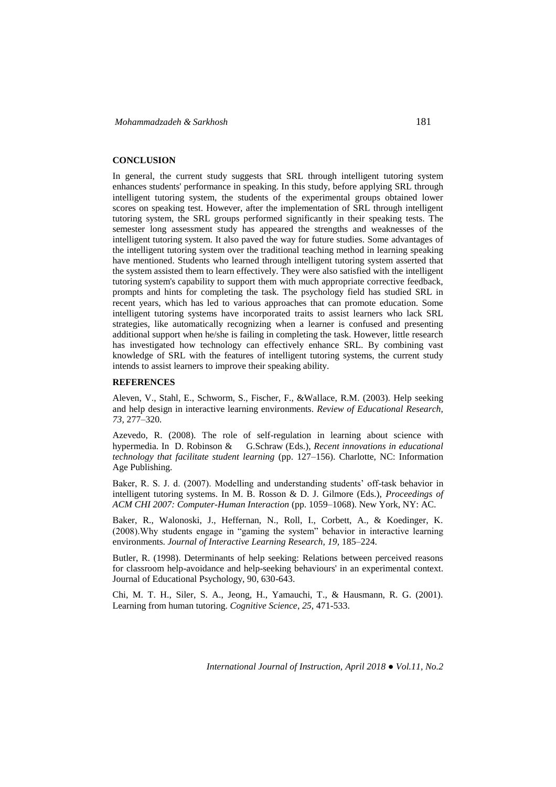#### **CONCLUSION**

In general, the current study suggests that SRL through intelligent tutoring system enhances students' performance in speaking. In this study, before applying SRL through intelligent tutoring system, the students of the experimental groups obtained lower scores on speaking test. However, after the implementation of SRL through intelligent tutoring system, the SRL groups performed significantly in their speaking tests. The semester long assessment study has appeared the strengths and weaknesses of the intelligent tutoring system. It also paved the way for future studies. Some advantages of the intelligent tutoring system over the traditional teaching method in learning speaking have mentioned. Students who learned through intelligent tutoring system asserted that the system assisted them to learn effectively. They were also satisfied with the intelligent tutoring system's capability to support them with much appropriate corrective feedback, prompts and hints for completing the task. The psychology field has studied SRL in recent years, which has led to various approaches that can promote education. Some intelligent tutoring systems have incorporated traits to assist learners who lack SRL strategies, like automatically recognizing when a learner is confused and presenting additional support when he/she is failing in completing the task. However, little research has investigated how technology can effectively enhance SRL. By combining vast knowledge of SRL with the features of intelligent tutoring systems, the current study intends to assist learners to improve their speaking ability.

#### **REFERENCES**

Aleven, V., Stahl, E., Schworm, S., Fischer, F., &Wallace, R.M. (2003). Help seeking and help design in interactive learning environments. *Review of Educational Research, 73,* 277–320*.* 

Azevedo, R. (2008). The role of self-regulation in learning about science with hypermedia. In D. Robinson & G.Schraw (Eds.), *Recent innovations in educational technology that facilitate student learning* (pp. 127–156). Charlotte, NC: Information Age Publishing.

Baker, R. S. J. d. (2007). Modelling and understanding students' off-task behavior in intelligent tutoring systems. In M. B. Rosson & D. J. Gilmore (Eds.), *Proceedings of ACM CHI 2007: Computer-Human Interaction* (pp. 1059–1068). New York, NY: AC.

Baker, R., Walonoski, J., Heffernan, N., Roll, I., Corbett, A., & Koedinger, K. (2008).Why students engage in "gaming the system" behavior in interactive learning environments. *Journal of Interactive Learning Research, 19,* 185–224.

Butler, R. (1998). Determinants of help seeking: Relations between perceived reasons for classroom help-avoidance and help-seeking behaviours' in an experimental context. Journal of Educational Psychology, 90, 630-643.

Chi, M. T. H., Siler, S. A., Jeong, H., Yamauchi, T., & Hausmann, R. G. (2001). Learning from human tutoring. *Cognitive Science*, *25*, 471-533.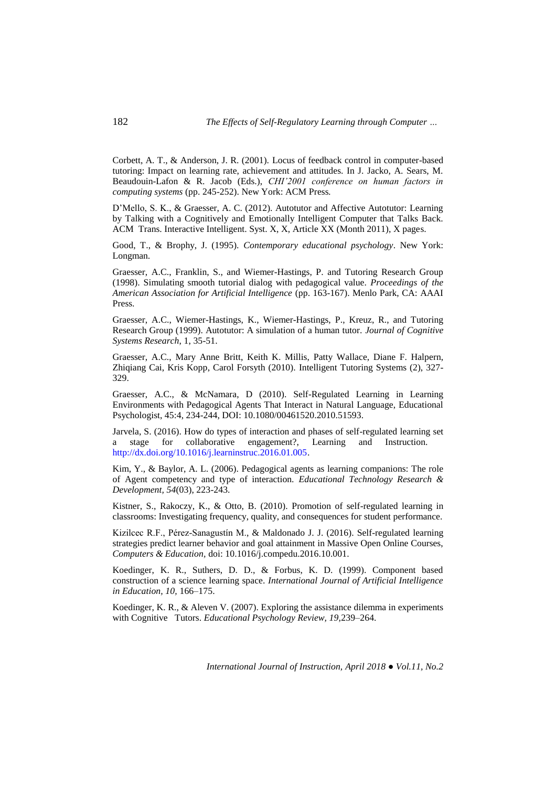Corbett, A. T., & Anderson, J. R. (2001). Locus of feedback control in computer-based tutoring: Impact on learning rate, achievement and attitudes. In J. Jacko, A. Sears, M. Beaudouin-Lafon & R. Jacob (Eds.), *CHI'2001 conference on human factors in computing systems* (pp. 245-252). New York: ACM Press*.* 

D'Mello, S. K., & Graesser, A. C. (2012). Autotutor and Affective Autotutor: Learning by Talking with a Cognitively and Emotionally Intelligent Computer that Talks Back. ACM Trans. Interactive Intelligent. Syst. X, X, Article XX (Month 2011), X pages.

Good, T., & Brophy, J. (1995). *Contemporary educational psychology*. New York: Longman.

Graesser, A.C., Franklin, S., and Wiemer-Hastings, P. and Tutoring Research Group (1998). Simulating smooth tutorial dialog with pedagogical value. *Proceedings of the American Association for Artificial Intelligence* (pp. 163-167). Menlo Park, CA: AAAI Press.

Graesser, A.C., Wiemer-Hastings, K., Wiemer-Hastings, P., Kreuz, R., and Tutoring Research Group (1999). Autotutor: A simulation of a human tutor. *Journal of Cognitive Systems Research*, 1, 35-51.

Graesser, A.C., Mary Anne Britt, Keith K. Millis, Patty Wallace, Diane F. Halpern, Zhiqiang Cai, Kris Kopp, Carol Forsyth (2010). Intelligent Tutoring Systems (2), 327- 329.

Graesser, A.C., & McNamara, D (2010). Self-Regulated Learning in Learning Environments with Pedagogical Agents That Interact in Natural Language, Educational Psychologist, 45:4, 234-244, DOI: 10.1080/00461520.2010.51593.

Jarvela, S. (2016). How do types of interaction and phases of self-regulated learning set a stage for collaborative engagement?, Learning and Instruction. [http://dx.doi.org/10.1016/j.learninstruc.2016.01.005.](http://dx.doi.org/10.1016/j.learninstruc.2016.01.005)

Kim, Y., & Baylor, A. L. (2006). Pedagogical agents as learning companions: The role of Agent competency and type of interaction. *Educational Technology Research & Development, 54*(03), 223-243.

Kistner, S., Rakoczy, K., & Otto, B. (2010). Promotion of self-regulated learning in classrooms: Investigating frequency, quality, and consequences for student performance.

Kizilcec R.F., Pérez-Sanagustín M., & Maldonado J. J. (2016). Self-regulated learning strategies predict learner behavior and goal attainment in Massive Open Online Courses, *Computers & Education,* doi: 10.1016/j.compedu.2016.10.001.

Koedinger, K. R., Suthers, D. D., & Forbus, K. D. (1999). Component based construction of a science learning space. *International Journal of Artificial Intelligence in Education, 10,* 166–175.

Koedinger, K. R., & Aleven V. (2007). Exploring the assistance dilemma in experiments with Cognitive Tutors. *Educational Psychology Review, 19,*239–264.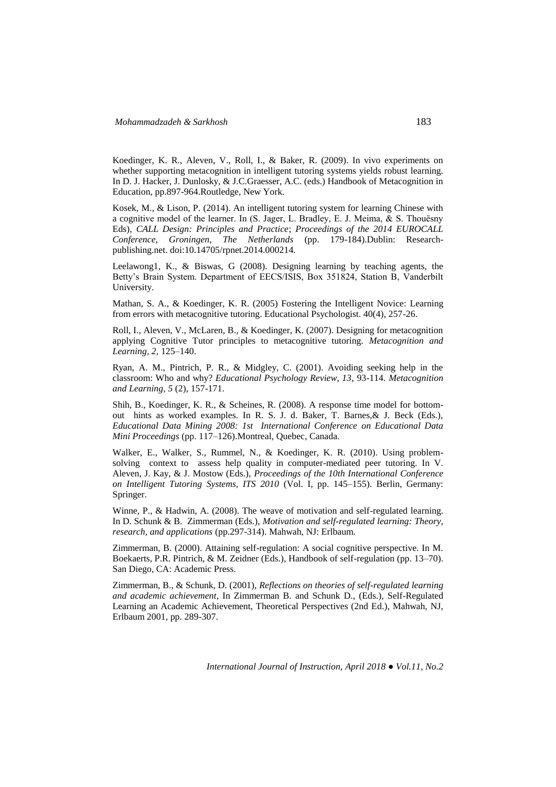Koedinger, K. R., Aleven, V., Roll, I., & Baker, R. (2009). In vivo experiments on whether supporting metacognition in intelligent tutoring systems yields robust learning. In D. J. Hacker, J. Dunlosky, & J.C.Graesser, A.C. (eds.) Handbook of Metacognition in Education, pp.897-964.Routledge, New York.

Kosek, M., & Lison, P. (2014). An intelligent tutoring system for learning Chinese with a cognitive model of the learner. In (S. Jager, L. Bradley, E. J. Meima, & S. Thouësny Eds), *CALL Design: Principles and Practice*; *Proceedings of the 2014 EUROCALL Conference, Groningen, The Netherlands* (pp. 179-184).Dublin: Researchpublishing.net. doi:10.14705/rpnet.2014.000214*.*

Leelawong1, K., & Biswas, G (2008). Designing learning by teaching agents, the Betty's Brain System. Department of EECS/ISIS, Box 351824, Station B, Vanderbilt University.

Mathan, S. A., & Koedinger, K. R. (2005) Fostering the Intelligent Novice: Learning from errors with metacognitive tutoring. Educational Psychologist. 40(4), 257-26.

Roll, I., Aleven, V., McLaren, B., & Koedinger, K. (2007). Designing for metacognition applying Cognitive Tutor principles to metacognitive tutoring. *Metacognition and Learning, 2,* 125–140.

Ryan, A. M., Pintrich, P. R., & Midgley, C. (2001). Avoiding seeking help in the classroom: Who and why? *Educational Psychology Review, 13*, 93-114. *Metacognition and Learning, 5* (2), 157-171.

Shih, B., Koedinger, K. R., & Scheines, R. (2008). A response time model for bottomout hints as worked examples. In R. S. J. d. Baker, T. Barnes,& J. Beck (Eds.), *Educational Data Mining 2008: 1st International Conference on Educational Data Mini Proceedings* (pp. 117–126).Montreal, Quebec, Canada.

Walker, E., Walker, S., Rummel, N., & Koedinger, K. R. (2010). Using problemsolving context to assess help quality in computer-mediated peer tutoring. In V. Aleven, J. Kay, & J. Mostow (Eds.), *Proceedings of the 10th International Conference on Intelligent Tutoring Systems, ITS 2010* (Vol. I, pp. 145–155). Berlin, Germany: Springer.

Winne, P., & Hadwin, A. (2008). The weave of motivation and self-regulated learning. In D. Schunk & B. Zimmerman (Eds.), *Motivation and self-regulated learning: Theory, research, and applications* (pp.297-314). Mahwah, NJ: Erlbaum*.*

Zimmerman, B. (2000). Attaining self-regulation: A social cognitive perspective. In M. Boekaerts, P.R. Pintrich, & M. Zeidner (Eds.), Handbook of self-regulation (pp. 13–70). San Diego, CA: Academic Press.

Zimmerman, B., & Schunk, D. (2001), *Reflections on theories of self-regulated learning and academic achievement*, In Zimmerman B. and Schunk D., (Eds.), Self-Regulated Learning an Academic Achievement, Theoretical Perspectives (2nd Ed.), Mahwah, NJ, Erlbaum 2001, pp. 289-307.